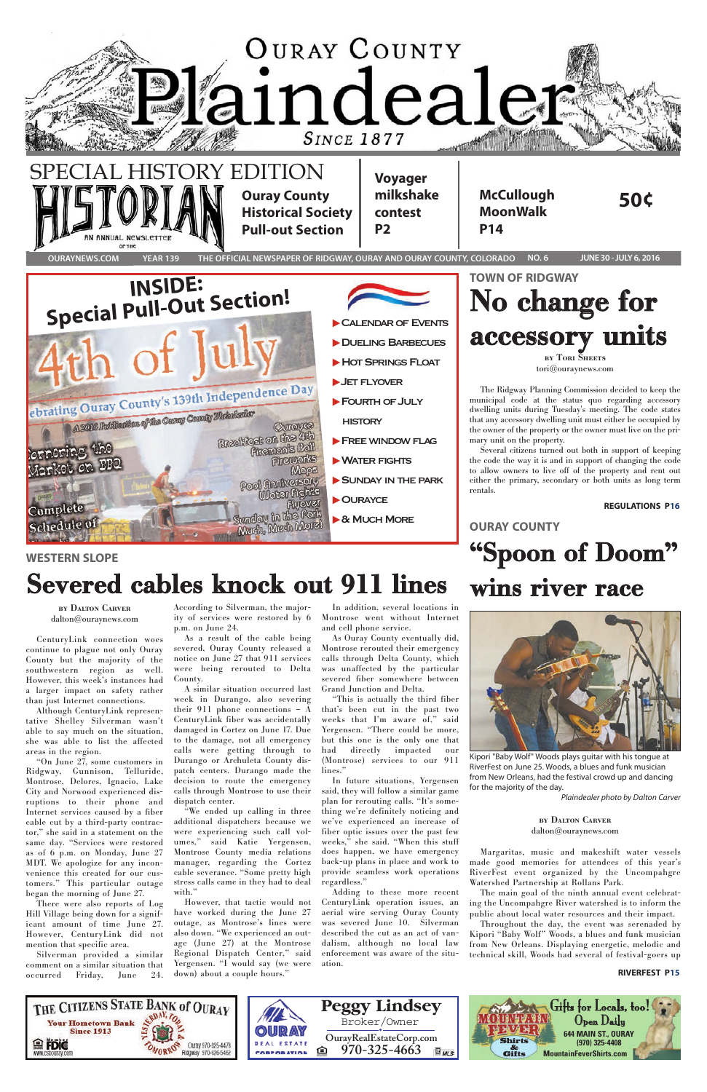

Kipori "Baby Wolf" Woods plays guitar with his tongue at RiverFest on June 25. Woods, a blues and funk musician from New Orleans, had the festival crowd up and dancing for the majority of the day.

Margaritas, music and makeshift water vessels made good memories for attendees of this year's RiverFest event organized by the Uncompahgre Watershed Partnership at Rollans Park.

The main goal of the ninth annual event celebrating the Uncompahgre River watershed is to inform the public about local water resources and their impact.

"We ended up calling in three additional dispatchers because we were experiencing such call volumes," said Katie Yergensen, Montrose County media relations manager, regarding the Cortez cable severance. "Some pretty high stress calls came in they had to deal with."

> Throughout the day, the event was serenaded by Kipori "Baby Wolf" Woods, a blues and funk musician from New Orleans. Displaying energetic, melodic and technical skill, Woods had several of festival-goers up

CenturyLink connection woes continue to plague not only Ouray County but the majority of the southwestern region as well. However, this week's instances had a larger impact on safety rather than just Internet connections.

"This is actually the third fiber that's been cut in the past two weeks that I'm aware of," said Yergensen. "There could be more, but this one is the only one that had directly impacted our (Montrose) services to our 911 lines."

Although CenturyLink representative Shelley Silverman wasn't able to say much on the situation, she was able to list the affected areas in the region.

"On June 27, some customers in Ridgway, Gunnison, Telluride, Montrose, Delores, Ignacio, Lake City and Norwood experienced disruptions to their phone Internet services caused by a fiber cable cut by a third-party contractor," she said in a statement on the same day. "Services were restored as of 6 p.m. on Monday, June 27 MDT. We apologize for any inconvenience this created for our customers." This particular outage began the morning of June 27. There were also reports of Log Hill Village being down for a significant amount of time June 27. However, CenturyLink did not mention that specific area. Silverman provided a similar comment on a similar situation that occurred Friday, June 24.



According to Silverman, the majority of services were restored by 6 p.m. on June 24.

As a result of the cable being severed, Ouray County released a notice on June 27 that 911 services were being rerouted to Delta County.

A similar situation occurred last week in Durango, also severing their 911 phone connections – A CenturyLink fiber was accidentally damaged in Cortez on June 17. Due to the damage, not all emergency calls were getting through to Durango or Archuleta County dispatch centers. Durango made the decision to route the emergency calls through Montrose to use their dispatch center.

However, that tactic would not have worked during the June 27 outage, as Montrose's lines were also down. "We experienced an outage (June 27) at the Montrose Regional Dispatch Center," said Yergensen. "I would say (we were down) about a couple hours."

In addition, several locations in Montrose went without Internet and cell phone service.

As Ouray County eventually did, Montrose rerouted their emergency calls through Delta County, which was unaffected by the particular severed fiber somewhere between Grand Junction and Delta.

In future situations, Yergensen said, they will follow a similar game plan for rerouting calls. "It's something we're definitely noticing and we've experienced an increase of fiber optic issues over the past few weeks," she said. "When this stuff does happen, we have emergency back-up plans in place and work to provide seamless work operations regardless." Adding to these more recent CenturyLink operation issues, an aerial wire serving Ouray County was severed June 10. Silverman described the cut as an act of vandalism, although no local law enforcement was aware of the situation.



#### **RIVERFEST P15**

**wins river race**

#### **by Dalton Carver** [dalton@ouraynews.com](mailto:dalton@ouraynews.com)

#### **by Dalton Carver** [dalton@ouraynews.com](mailto:dalton@ouraynews.com)

## **WESTERN SLOPE Severed cables knock out 911 lines**